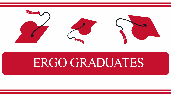

## ERGO GRADUATES

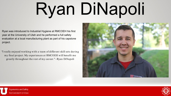## Ryan DiNapoli

Ryan was introduced to Industrial Hygiene at RMCOEH his first year at the University of Utah and he performed a full safety evaluation at a local manufacturing plant as part of his capstone project.

"I really enjoyed working with a team of different skill sets during my final project. My experiences at RMCOEH will benefit me greatly throughout the rest of my career." -Ryan DiNapoli





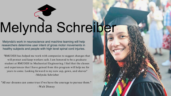## Melynda Schreiber

Melynda's work in neuroscience and machine learning will help researchers determine user intent of gross motor movements in healthy subjects and people with high level spinal cord injuries.

"All our dreams can come true if we have the courage to pursue them." -Walt Disney



"RMCOEH has helped me work with companies to suggest changes that will protect and keep workers safe. I am honored to be a graduate student at RMCOEH in Mechanical Engineering. I feel that the classes and experiences that I have gained from this program will help me for years to come. Looking forward to my new cap, gown, and sleeves" -Melynda Schrieber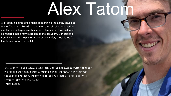## Alex Tatom

Alex spent his graduate studies researching the safety envelope of the Tetradapt TetraSki —an automated ski chair adapted for use by quadriplegics —with specific interest in rollover risk and its hazards that it may represent to the occupant. Conclusions from his work will help inform operational safety procedures for the device out on the ski hill.

"My time with the Rocky Mountain Center has helped better prepare me for the workplace with a focus on monitoring and mitigating hazar ds to pr otect wor ker 's health and wellbeing—a skillset I will pr oudly take into the field."

- Alex Tatom

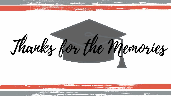Thanks for the Memories